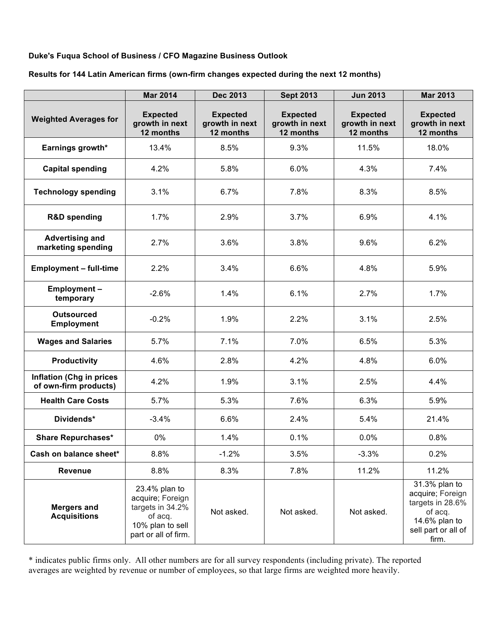### **Duke's Fuqua School of Business / CFO Magazine Business Outlook**

#### **Results for 144 Latin American firms (own-firm changes expected during the next 12 months)**

|                                                          | <b>Mar 2014</b>                                                                                              | <b>Dec 2013</b>                                | <b>Sept 2013</b>                               | <b>Jun 2013</b>                                | <b>Mar 2013</b>                                                                                                   |
|----------------------------------------------------------|--------------------------------------------------------------------------------------------------------------|------------------------------------------------|------------------------------------------------|------------------------------------------------|-------------------------------------------------------------------------------------------------------------------|
| <b>Weighted Averages for</b>                             | <b>Expected</b><br>growth in next<br>12 months                                                               | <b>Expected</b><br>growth in next<br>12 months | <b>Expected</b><br>growth in next<br>12 months | <b>Expected</b><br>growth in next<br>12 months | <b>Expected</b><br>growth in next<br>12 months                                                                    |
| Earnings growth*                                         | 13.4%                                                                                                        | 8.5%                                           | 9.3%                                           | 11.5%                                          | 18.0%                                                                                                             |
| <b>Capital spending</b>                                  | 4.2%                                                                                                         | 5.8%                                           | 6.0%                                           | 4.3%                                           | 7.4%                                                                                                              |
| <b>Technology spending</b>                               | 3.1%                                                                                                         | 6.7%                                           | 7.8%                                           | 8.3%                                           | 8.5%                                                                                                              |
| <b>R&amp;D spending</b>                                  | 1.7%                                                                                                         | 2.9%                                           | 3.7%                                           | 6.9%                                           | 4.1%                                                                                                              |
| <b>Advertising and</b><br>marketing spending             | 2.7%                                                                                                         | 3.6%                                           | 3.8%                                           | 9.6%                                           | 6.2%                                                                                                              |
| <b>Employment - full-time</b>                            | 2.2%                                                                                                         | 3.4%                                           | 6.6%                                           | 4.8%                                           | 5.9%                                                                                                              |
| <b>Employment-</b><br>temporary                          | $-2.6%$                                                                                                      | 1.4%                                           | 6.1%                                           | 2.7%                                           | 1.7%                                                                                                              |
| <b>Outsourced</b><br><b>Employment</b>                   | $-0.2%$                                                                                                      | 1.9%                                           | 2.2%                                           | 3.1%                                           | 2.5%                                                                                                              |
| <b>Wages and Salaries</b>                                | 5.7%                                                                                                         | 7.1%                                           | 7.0%                                           | 6.5%                                           | 5.3%                                                                                                              |
| <b>Productivity</b>                                      | 4.6%                                                                                                         | 2.8%                                           | 4.2%                                           | 4.8%                                           | 6.0%                                                                                                              |
| <b>Inflation (Chg in prices</b><br>of own-firm products) | 4.2%                                                                                                         | 1.9%                                           | 3.1%                                           | 2.5%                                           | 4.4%                                                                                                              |
| <b>Health Care Costs</b>                                 | 5.7%                                                                                                         | 5.3%                                           | 7.6%                                           | 6.3%                                           | 5.9%                                                                                                              |
| Dividends*                                               | $-3.4%$                                                                                                      | 6.6%                                           | 2.4%                                           | 5.4%                                           | 21.4%                                                                                                             |
| <b>Share Repurchases*</b>                                | $0\%$                                                                                                        | 1.4%                                           | 0.1%                                           | 0.0%                                           | 0.8%                                                                                                              |
| Cash on balance sheet*                                   | 8.8%                                                                                                         | $-1.2%$                                        | 3.5%                                           | $-3.3%$                                        | 0.2%                                                                                                              |
| Revenue                                                  | 8.8%                                                                                                         | 8.3%                                           | 7.8%                                           | 11.2%                                          | 11.2%                                                                                                             |
| <b>Mergers and</b><br><b>Acquisitions</b>                | 23.4% plan to<br>acquire; Foreign<br>targets in 34.2%<br>of acq.<br>10% plan to sell<br>part or all of firm. | Not asked.                                     | Not asked.                                     | Not asked.                                     | 31.3% plan to<br>acquire; Foreign<br>targets in 28.6%<br>of acq.<br>14.6% plan to<br>sell part or all of<br>firm. |

\* indicates public firms only. All other numbers are for all survey respondents (including private). The reported averages are weighted by revenue or number of employees, so that large firms are weighted more heavily.